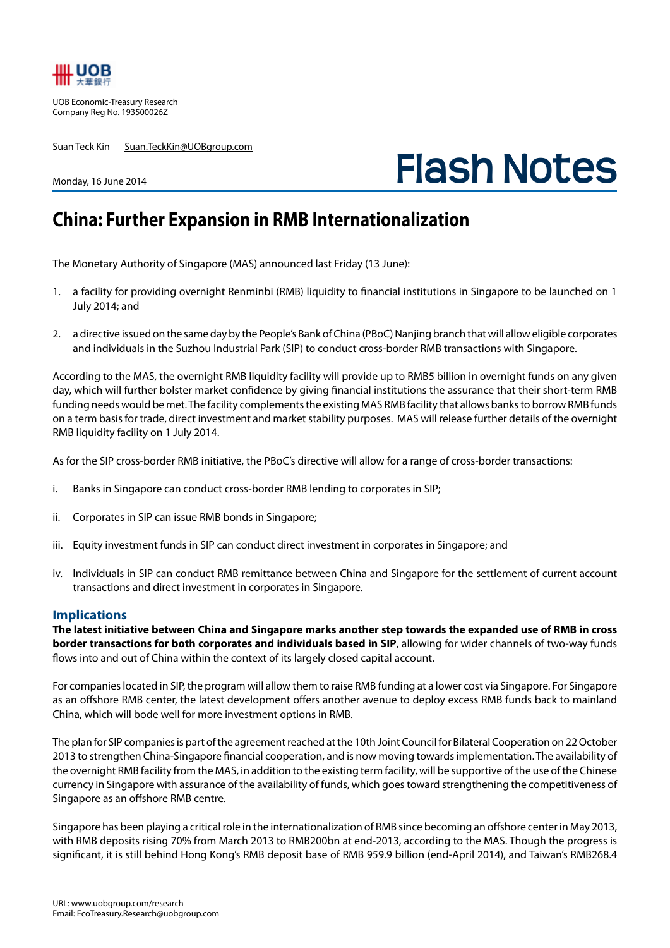

UOB Economic-Treasury Research Company Reg No. 193500026Z

Monday, 16 June 2014

Suan Teck Kin Suan.TeckKin@UOBgroup.com

**Flash Notes**

## **China: Further Expansion in RMB Internationalization**

The Monetary Authority of Singapore (MAS) announced last Friday (13 June):

- 1. a facility for providing overnight Renminbi (RMB) liquidity to financial institutions in Singapore to be launched on 1 July 2014; and
- 2. a directive issued on the same day by the People's Bank of China (PBoC) Nanjing branch that will allow eligible corporates and individuals in the Suzhou Industrial Park (SIP) to conduct cross-border RMB transactions with Singapore.

According to the MAS, the overnight RMB liquidity facility will provide up to RMB5 billion in overnight funds on any given day, which will further bolster market confidence by giving financial institutions the assurance that their short-term RMB funding needs would be met. The facility complements the existing MAS RMB facility that allows banks to borrow RMB funds on a term basis for trade, direct investment and market stability purposes. MAS will release further details of the overnight RMB liquidity facility on 1 July 2014.

As for the SIP cross-border RMB initiative, the PBoC's directive will allow for a range of cross-border transactions:

- i. Banks in Singapore can conduct cross-border RMB lending to corporates in SIP;
- ii. Corporates in SIP can issue RMB bonds in Singapore;
- iii. Equity investment funds in SIP can conduct direct investment in corporates in Singapore; and
- iv. Individuals in SIP can conduct RMB remittance between China and Singapore for the settlement of current account transactions and direct investment in corporates in Singapore.

## **Implications**

**The latest initiative between China and Singapore marks another step towards the expanded use of RMB in cross border transactions for both corporates and individuals based in SIP**, allowing for wider channels of two-way funds flows into and out of China within the context of its largely closed capital account.

For companies located in SIP, the program will allow them to raise RMB funding at a lower cost via Singapore. For Singapore as an offshore RMB center, the latest development offers another avenue to deploy excess RMB funds back to mainland China, which will bode well for more investment options in RMB.

The plan for SIP companies is part of the agreement reached at the 10th Joint Council for Bilateral Cooperation on 22 October 2013 to strengthen China-Singapore financial cooperation, and is now moving towards implementation. The availability of the overnight RMB facility from the MAS, in addition to the existing term facility, will be supportive of the use of the Chinese currency in Singapore with assurance of the availability of funds, which goes toward strengthening the competitiveness of Singapore as an offshore RMB centre.

Singapore has been playing a critical role in the internationalization of RMB since becoming an offshore center in May 2013, with RMB deposits rising 70% from March 2013 to RMB200bn at end-2013, according to the MAS. Though the progress is significant, it is still behind Hong Kong's RMB deposit base of RMB 959.9 billion (end-April 2014), and Taiwan's RMB268.4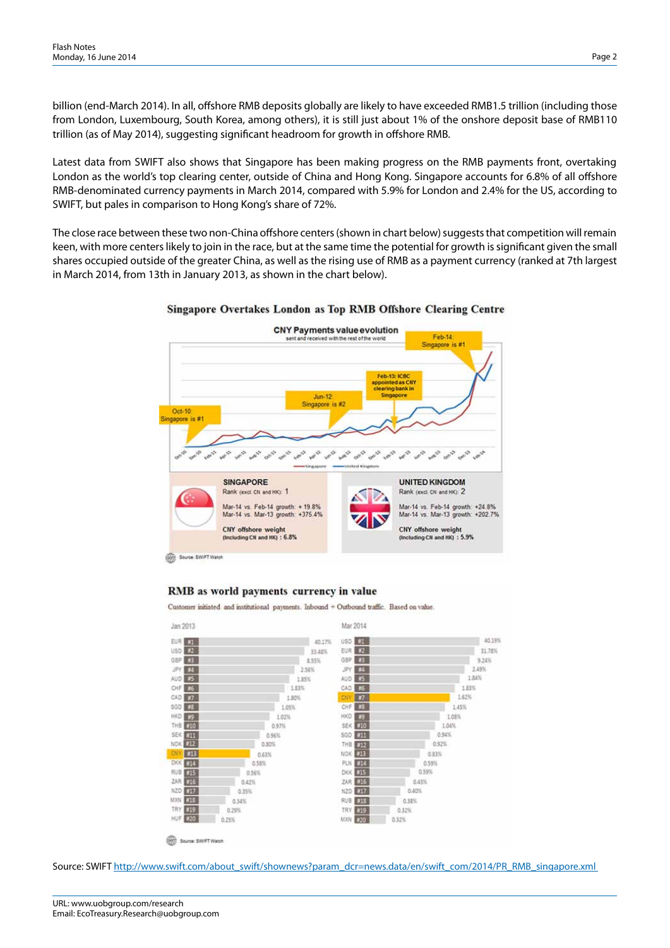billion (end-March 2014). In all, offshore RMB deposits globally are likely to have exceeded RMB1.5 trillion (including those from London, Luxembourg, South Korea, among others), it is still just about 1% of the onshore deposit base of RMB110 trillion (as of May 2014), suggesting significant headroom for growth in offshore RMB.

Latest data from SWIFT also shows that Singapore has been making progress on the RMB payments front, overtaking London as the world's top clearing center, outside of China and Hong Kong. Singapore accounts for 6.8% of all offshore RMB-denominated currency payments in March 2014, compared with 5.9% for London and 2.4% for the US, according to SWIFT, but pales in comparison to Hong Kong's share of 72%.

The close race between these two non-China offshore centers (shown in chart below) suggests that competition will remain keen, with more centers likely to join in the race, but at the same time the potential for growth is significant given the small shares occupied outside of the greater China, as well as the rising use of RMB as a payment currency (ranked at 7th largest in March 2014, from 13th in January 2013, as shown in the chart below).



## Singapore Overtakes London as Top RMB Offshore Clearing Centre

## RMB as world payments currency in value

Customer initiated and institutional payments. Inbound + Outbound traffic. Based on value



Source: SWIFT http://www.swift.com/about\_swift/shownews?param\_dcr=news.data/en/swift\_com/2014/PR\_RMB\_singapore.xml